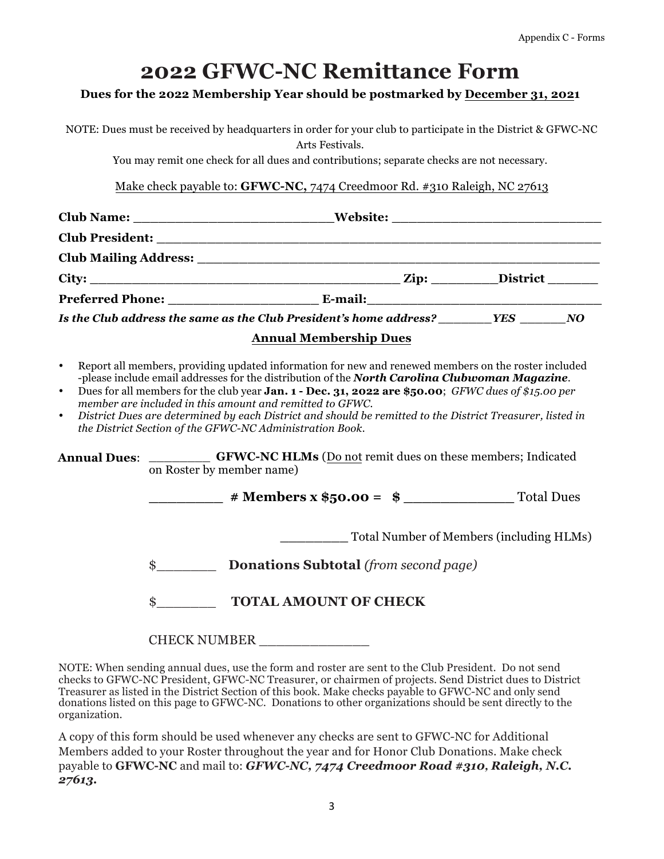# **2022 GFWC-NC Remittance Form**

### **Dues for the 2022 Membership Year should be postmarked by December 31, 2021**

NOTE: Dues must be received by headquarters in order for your club to participate in the District & GFWC-NC Arts Festivals.

You may remit one check for all dues and contributions; separate checks are not necessary.

Make check payable to: **GFWC-NC,** 7474 Creedmoor Rd. #310 Raleigh, NC 27613

|                                                                                                                                                             | Club Name: __________________________________Website: ___________________________                                                                                                                                                                                                                                                                                                                                                                                                                                        |  |
|-------------------------------------------------------------------------------------------------------------------------------------------------------------|--------------------------------------------------------------------------------------------------------------------------------------------------------------------------------------------------------------------------------------------------------------------------------------------------------------------------------------------------------------------------------------------------------------------------------------------------------------------------------------------------------------------------|--|
|                                                                                                                                                             |                                                                                                                                                                                                                                                                                                                                                                                                                                                                                                                          |  |
|                                                                                                                                                             |                                                                                                                                                                                                                                                                                                                                                                                                                                                                                                                          |  |
|                                                                                                                                                             |                                                                                                                                                                                                                                                                                                                                                                                                                                                                                                                          |  |
|                                                                                                                                                             |                                                                                                                                                                                                                                                                                                                                                                                                                                                                                                                          |  |
|                                                                                                                                                             |                                                                                                                                                                                                                                                                                                                                                                                                                                                                                                                          |  |
|                                                                                                                                                             | <b>Annual Membership Dues</b>                                                                                                                                                                                                                                                                                                                                                                                                                                                                                            |  |
| $\bullet$<br>$\bullet$<br>member are included in this amount and remitted to GFWC.<br>$\bullet$<br>the District Section of the GFWC-NC Administration Book. | Report all members, providing updated information for new and renewed members on the roster included<br>-please include email addresses for the distribution of the North Carolina Clubwoman Magazine.<br>Dues for all members for the club year <b>Jan. 1 - Dec. 31, 2022 are \$50.00</b> ; GFWC dues of \$15.00 per<br>District Dues are determined by each District and should be remitted to the District Treasurer, listed in<br>Annual Dues: _________ GFWC-NC HLMs (Do not remit dues on these members; Indicated |  |
| on Roster by member name)                                                                                                                                   |                                                                                                                                                                                                                                                                                                                                                                                                                                                                                                                          |  |

| # Members x $$50.00 = $$ | <b>Total Dues</b> |
|--------------------------|-------------------|
|                          |                   |

| Total Number of Members (including HLMs) |  |
|------------------------------------------|--|
|------------------------------------------|--|

\$\_\_\_\_\_\_\_ **Donations Subtotal** *(from second page)*

| \$ | <b>TOTAL AMOUNT OF CHECK</b> |
|----|------------------------------|
|----|------------------------------|

### CHECK NUMBER \_\_\_\_\_\_\_\_\_\_\_\_\_

NOTE: When sending annual dues, use the form and roster are sent to the Club President. Do not send checks to GFWC-NC President, GFWC-NC Treasurer, or chairmen of projects. Send District dues to District Treasurer as listed in the District Section of this book. Make checks payable to GFWC-NC and only send donations listed on this page to GFWC-NC. Donations to other organizations should be sent directly to the organization.

A copy of this form should be used whenever any checks are sent to GFWC-NC for Additional Members added to your Roster throughout the year and for Honor Club Donations. Make check payable to **GFWC-NC** and mail to: *GFWC-NC, 7474 Creedmoor Road #310, Raleigh, N.C. 27613.*